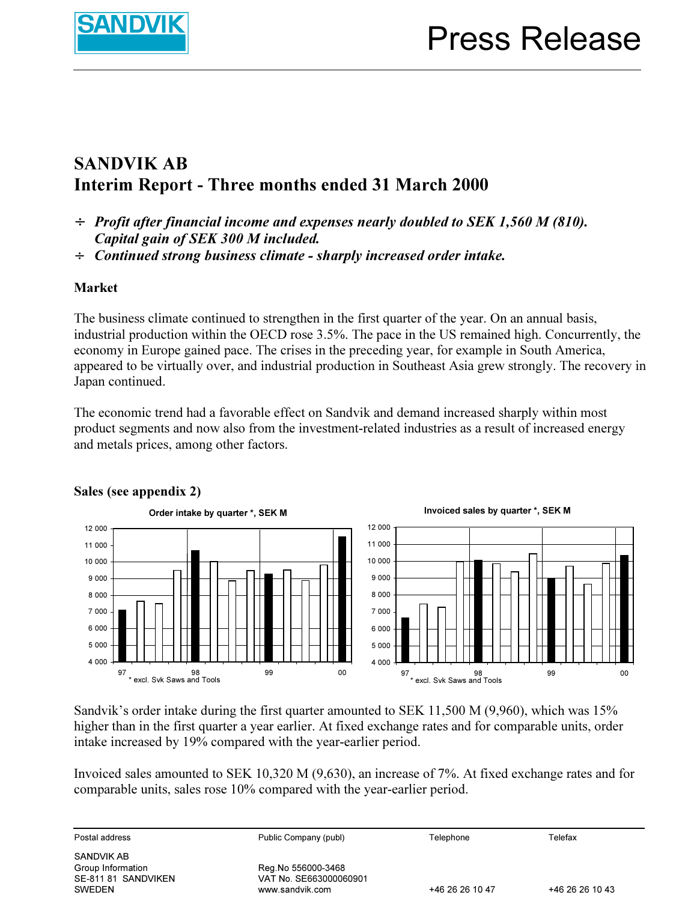

## SANDVIK AB Interim Report - Three months ended 31 March 2000

- $\div$  Profit after financial income and expenses nearly doubled to SEK 1,560 M (810). Capital gain of SEK 300 M included.
- ÷ Continued strong business climate sharply increased order intake.

## Market

The business climate continued to strengthen in the first quarter of the year. On an annual basis, industrial production within the OECD rose 3.5%. The pace in the US remained high. Concurrently, the economy in Europe gained pace. The crises in the preceding year, for example in South America, appeared to be virtually over, and industrial production in Southeast Asia grew strongly. The recovery in Japan continued.

The economic trend had a favorable effect on Sandvik and demand increased sharply within most product segments and now also from the investment-related industries as a result of increased energy and metals prices, among other factors.



### Sales (see appendix 2)

Sandvik's order intake during the first quarter amounted to SEK 11,500 M (9,960), which was 15% higher than in the first quarter a year earlier. At fixed exchange rates and for comparable units, order intake increased by 19% compared with the year-earlier period.

Invoiced sales amounted to SEK 10,320 M (9,630), an increase of 7%. At fixed exchange rates and for comparable units, sales rose 10% compared with the year-earlier period.

| Postal address                                                   | Public Company (publ)                                           | Telephone       | Telefax         |
|------------------------------------------------------------------|-----------------------------------------------------------------|-----------------|-----------------|
| SANDVIK AB<br>Group Information<br>SE-811 81 SANDVIKEN<br>SWEDEN | Reg.No 556000-3468<br>VAT No. SE663000060901<br>www.sandvik.com | +46 26 26 10 47 | +46 26 26 10 43 |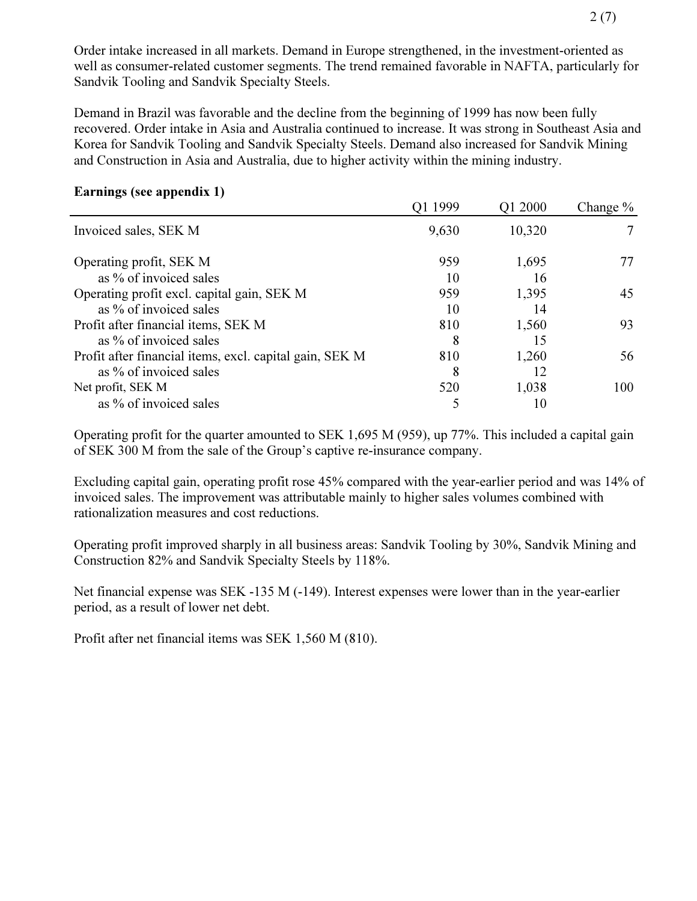Order intake increased in all markets. Demand in Europe strengthened, in the investment-oriented as well as consumer-related customer segments. The trend remained favorable in NAFTA, particularly for Sandvik Tooling and Sandvik Specialty Steels.

Demand in Brazil was favorable and the decline from the beginning of 1999 has now been fully recovered. Order intake in Asia and Australia continued to increase. It was strong in Southeast Asia and Korea for Sandvik Tooling and Sandvik Specialty Steels. Demand also increased for Sandvik Mining and Construction in Asia and Australia, due to higher activity within the mining industry.

#### Earnings (see appendix 1)

| 8 V V V                                                 | Q1 1999 | Q1 2000 | Change $\%$ |
|---------------------------------------------------------|---------|---------|-------------|
| Invoiced sales, SEK M                                   | 9,630   | 10,320  |             |
| Operating profit, SEK M                                 | 959     | 1,695   | 77          |
| as % of invoiced sales                                  | 10      | 16      |             |
| Operating profit excl. capital gain, SEK M              | 959     | 1,395   | 45          |
| as % of invoiced sales                                  | 10      | 14      |             |
| Profit after financial items, SEK M                     | 810     | 1,560   | 93          |
| as % of invoiced sales                                  | 8       | 15      |             |
| Profit after financial items, excl. capital gain, SEK M | 810     | 1,260   | 56          |
| as % of invoiced sales                                  | 8       | 12      |             |
| Net profit, SEK M                                       | 520     | 1,038   | 100         |
| as % of invoiced sales                                  |         | 10      |             |

Operating profit for the quarter amounted to SEK 1,695 M (959), up 77%. This included a capital gain of SEK 300 M from the sale of the Group's captive re-insurance company.

Excluding capital gain, operating profit rose 45% compared with the year-earlier period and was 14% of invoiced sales. The improvement was attributable mainly to higher sales volumes combined with rationalization measures and cost reductions.

Operating profit improved sharply in all business areas: Sandvik Tooling by 30%, Sandvik Mining and Construction 82% and Sandvik Specialty Steels by 118%.

Net financial expense was SEK -135 M (-149). Interest expenses were lower than in the year-earlier period, as a result of lower net debt.

Profit after net financial items was SEK 1,560 M (810).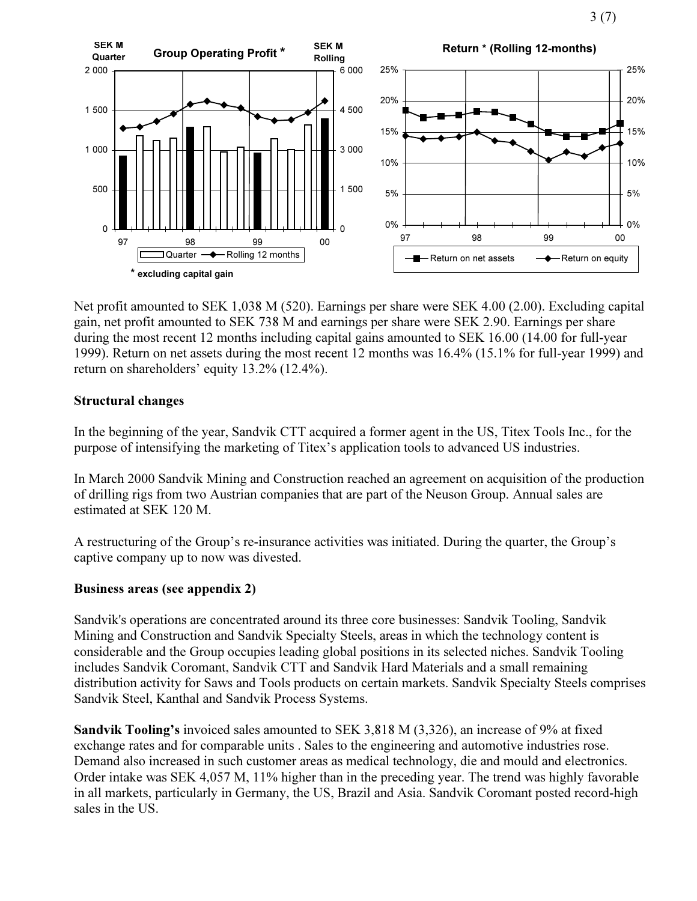3 (7)



Net profit amounted to SEK 1,038 M (520). Earnings per share were SEK 4.00 (2.00). Excluding capital gain, net profit amounted to SEK 738 M and earnings per share were SEK 2.90. Earnings per share during the most recent 12 months including capital gains amounted to SEK 16.00 (14.00 for full-year 1999). Return on net assets during the most recent 12 months was 16.4% (15.1% for full-year 1999) and return on shareholders' equity 13.2% (12.4%).

#### Structural changes

In the beginning of the year, Sandvik CTT acquired a former agent in the US, Titex Tools Inc., for the purpose of intensifying the marketing of Titex's application tools to advanced US industries.

In March 2000 Sandvik Mining and Construction reached an agreement on acquisition of the production of drilling rigs from two Austrian companies that are part of the Neuson Group. Annual sales are estimated at SEK 120 M.

A restructuring of the Group's re-insurance activities was initiated. During the quarter, the Group's captive company up to now was divested.

### Business areas (see appendix 2)

Sandvik's operations are concentrated around its three core businesses: Sandvik Tooling, Sandvik Mining and Construction and Sandvik Specialty Steels, areas in which the technology content is considerable and the Group occupies leading global positions in its selected niches. Sandvik Tooling includes Sandvik Coromant, Sandvik CTT and Sandvik Hard Materials and a small remaining distribution activity for Saws and Tools products on certain markets. Sandvik Specialty Steels comprises Sandvik Steel, Kanthal and Sandvik Process Systems.

Sandvik Tooling's invoiced sales amounted to SEK 3,818 M (3,326), an increase of 9% at fixed exchange rates and for comparable units . Sales to the engineering and automotive industries rose. Demand also increased in such customer areas as medical technology, die and mould and electronics. Order intake was SEK 4,057 M, 11% higher than in the preceding year. The trend was highly favorable in all markets, particularly in Germany, the US, Brazil and Asia. Sandvik Coromant posted record-high sales in the US.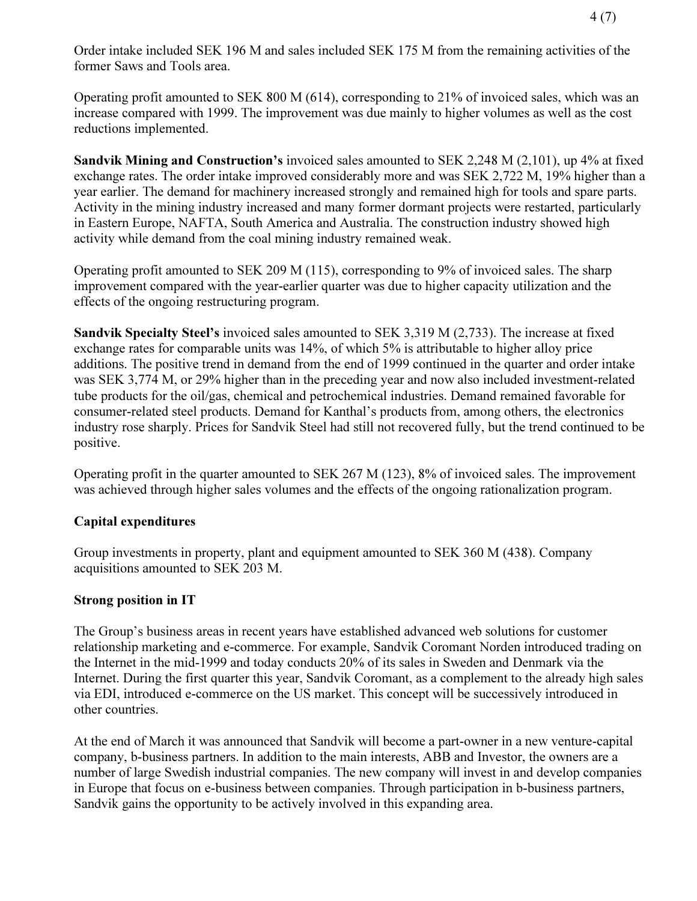Order intake included SEK 196 M and sales included SEK 175 M from the remaining activities of the former Saws and Tools area.

Operating profit amounted to SEK 800 M (614), corresponding to 21% of invoiced sales, which was an increase compared with 1999. The improvement was due mainly to higher volumes as well as the cost reductions implemented.

Sandvik Mining and Construction's invoiced sales amounted to SEK 2,248 M (2,101), up 4% at fixed exchange rates. The order intake improved considerably more and was SEK 2,722 M, 19% higher than a year earlier. The demand for machinery increased strongly and remained high for tools and spare parts. Activity in the mining industry increased and many former dormant projects were restarted, particularly in Eastern Europe, NAFTA, South America and Australia. The construction industry showed high activity while demand from the coal mining industry remained weak.

Operating profit amounted to SEK 209 M (115), corresponding to 9% of invoiced sales. The sharp improvement compared with the year-earlier quarter was due to higher capacity utilization and the effects of the ongoing restructuring program.

Sandvik Specialty Steel's invoiced sales amounted to SEK 3,319 M (2,733). The increase at fixed exchange rates for comparable units was 14%, of which 5% is attributable to higher alloy price additions. The positive trend in demand from the end of 1999 continued in the quarter and order intake was SEK 3,774 M, or 29% higher than in the preceding year and now also included investment-related tube products for the oil/gas, chemical and petrochemical industries. Demand remained favorable for consumer-related steel products. Demand for Kanthal's products from, among others, the electronics industry rose sharply. Prices for Sandvik Steel had still not recovered fully, but the trend continued to be positive.

Operating profit in the quarter amounted to SEK 267 M (123), 8% of invoiced sales. The improvement was achieved through higher sales volumes and the effects of the ongoing rationalization program.

### Capital expenditures

Group investments in property, plant and equipment amounted to SEK 360 M (438). Company acquisitions amounted to SEK 203 M.

### Strong position in IT

The Group's business areas in recent years have established advanced web solutions for customer relationship marketing and e-commerce. For example, Sandvik Coromant Norden introduced trading on the Internet in the mid-1999 and today conducts 20% of its sales in Sweden and Denmark via the Internet. During the first quarter this year, Sandvik Coromant, as a complement to the already high sales via EDI, introduced e-commerce on the US market. This concept will be successively introduced in other countries.

At the end of March it was announced that Sandvik will become a part-owner in a new venture-capital company, b-business partners. In addition to the main interests, ABB and Investor, the owners are a number of large Swedish industrial companies. The new company will invest in and develop companies in Europe that focus on e-business between companies. Through participation in b-business partners, Sandvik gains the opportunity to be actively involved in this expanding area.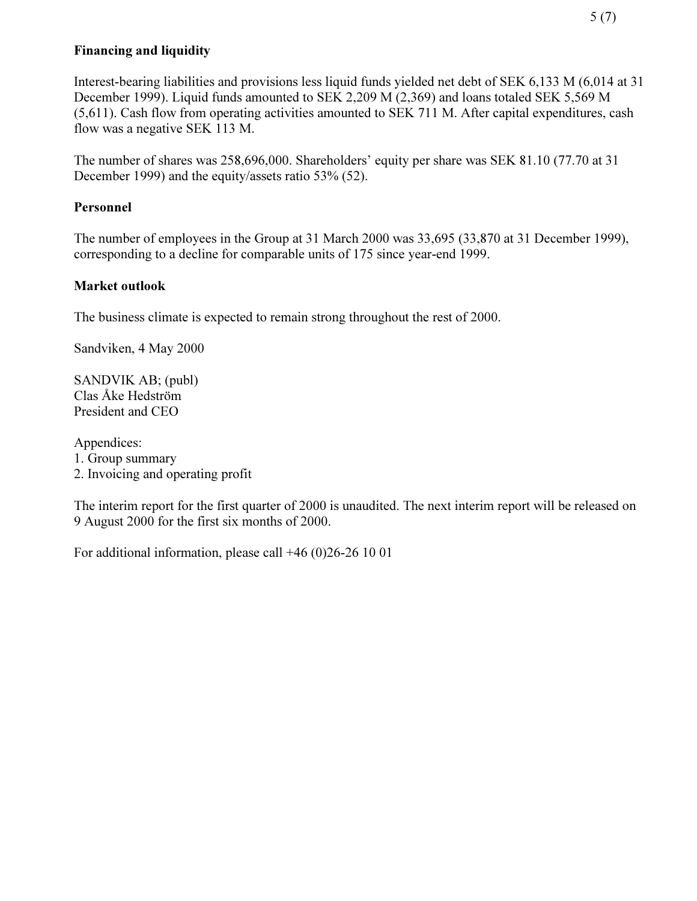## Financing and liquidity

Interest-bearing liabilities and provisions less liquid funds yielded net debt of SEK 6,133 M (6,014 at 31 December 1999). Liquid funds amounted to SEK 2,209 M (2,369) and loans totaled SEK 5,569 M (5,611). Cash flow from operating activities amounted to SEK 711 M. After capital expenditures, cash flow was a negative SEK 113 M.

The number of shares was 258,696,000. Shareholders' equity per share was SEK 81.10 (77.70 at 31 December 1999) and the equity/assets ratio 53% (52).

## Personnel

The number of employees in the Group at 31 March 2000 was 33,695 (33,870 at 31 December 1999), corresponding to a decline for comparable units of 175 since year-end 1999.

### Market outlook

The business climate is expected to remain strong throughout the rest of 2000.

Sandviken, 4 May 2000

SANDVIK AB; (publ) Clas Åke Hedström President and CEO

Appendices:

1. Group summary

2. Invoicing and operating profit

The interim report for the first quarter of 2000 is unaudited. The next interim report will be released on 9 August 2000 for the first six months of 2000.

For additional information, please call +46 (0)26-26 10 01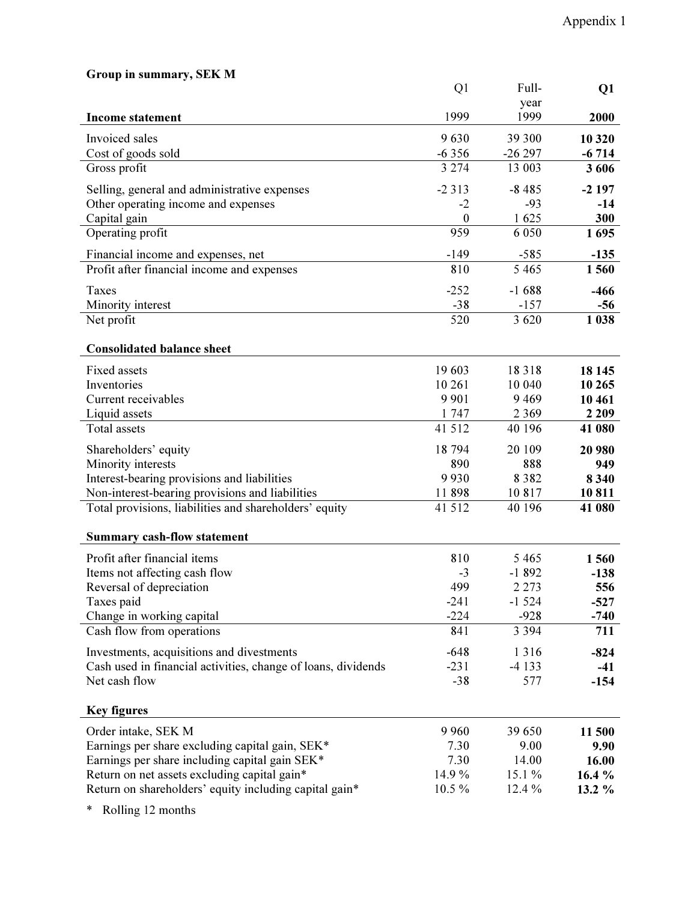| Group in summary, SEK M                                       |                  |          |         |
|---------------------------------------------------------------|------------------|----------|---------|
|                                                               | Q <sub>1</sub>   | Full-    | Q1      |
|                                                               |                  | year     |         |
| <b>Income statement</b>                                       | 1999             | 1999     | 2000    |
| Invoiced sales                                                | 9630             | 39 300   | 10 320  |
| Cost of goods sold                                            | $-6356$          | $-26297$ | $-6714$ |
| Gross profit                                                  | 3 2 7 4          | 13 003   | 3606    |
| Selling, general and administrative expenses                  | $-2313$          | $-8485$  | $-2197$ |
| Other operating income and expenses                           | $-2$             | $-93$    | $-14$   |
| Capital gain                                                  | $\boldsymbol{0}$ | 1625     | 300     |
| Operating profit                                              | 959              | 6 0 5 0  | 1695    |
| Financial income and expenses, net                            | $-149$           | $-585$   | $-135$  |
| Profit after financial income and expenses                    | 810              | 5 4 6 5  | 1560    |
| <b>Taxes</b>                                                  | $-252$           | $-1688$  | $-466$  |
| Minority interest                                             | $-38$            | $-157$   | $-56$   |
| Net profit                                                    | 520              | 3 6 20   | 1 0 38  |
|                                                               |                  |          |         |
| <b>Consolidated balance sheet</b>                             |                  |          |         |
| <b>Fixed assets</b>                                           | 19 603           | 18318    | 18 145  |
| Inventories                                                   | 10 261           | 10 040   | 10 265  |
| Current receivables                                           | 9 9 0 1          | 9 4 6 9  | 10 461  |
| Liquid assets                                                 | 1747             | 2 3 6 9  | 2 2 0 9 |
| <b>Total</b> assets                                           | 41 512           | 40 196   | 41 080  |
| Shareholders' equity                                          | 18 794           | 20 109   | 20 980  |
| Minority interests                                            | 890              | 888      | 949     |
| Interest-bearing provisions and liabilities                   | 9930             | 8 3 8 2  | 8 3 4 0 |
| Non-interest-bearing provisions and liabilities               | 11898            | 10817    | 10811   |
| Total provisions, liabilities and shareholders' equity        | 41 5 12          | 40 196   | 41 080  |
| <b>Summary cash-flow statement</b>                            |                  |          |         |
| Profit after financial items                                  | 810              | 5 4 6 5  | 1560    |
| Items not affecting cash flow                                 | $-3$             | $-1892$  | $-138$  |
| Reversal of depreciation                                      | 499              | 2 2 7 3  | 556     |
| Taxes paid                                                    | $-241$           | $-1524$  | $-527$  |
| Change in working capital                                     | $-224$           | $-928$   | $-740$  |
| Cash flow from operations                                     | 841              | 3 3 9 4  | 711     |
| Investments, acquisitions and divestments                     | $-648$           | 1 3 1 6  | $-824$  |
| Cash used in financial activities, change of loans, dividends | $-231$           | $-4133$  | $-41$   |
| Net cash flow                                                 | $-38$            | 577      | $-154$  |
|                                                               |                  |          |         |
| <b>Key figures</b>                                            |                  |          |         |
| Order intake, SEK M                                           | 9 9 6 0          | 39 650   | 11 500  |
| Earnings per share excluding capital gain, SEK*               | 7.30             | 9.00     | 9.90    |
| Earnings per share including capital gain SEK*                | 7.30             | 14.00    | 16.00   |
| Return on net assets excluding capital gain*                  | 14.9%            | 15.1 %   | 16.4 %  |
| Return on shareholders' equity including capital gain*        | 10.5 %           | 12.4 %   | 13.2 %  |
|                                                               |                  |          |         |

\* Rolling 12 months